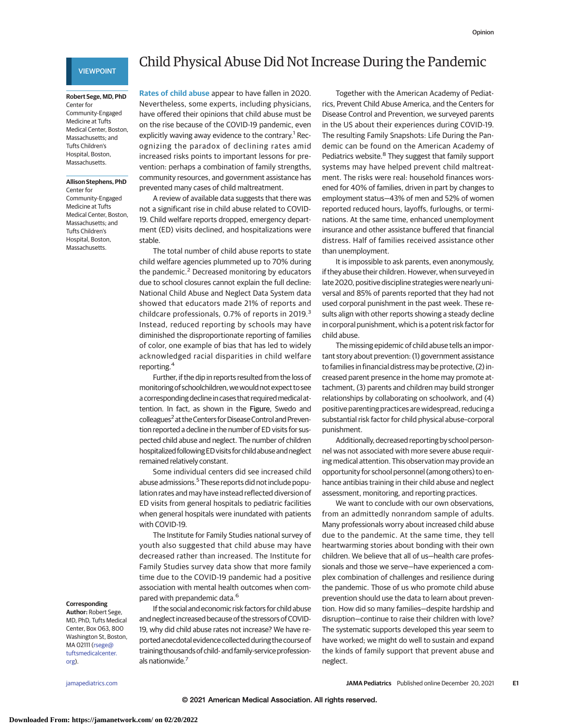## VIEWPOINT

#### **Robert Sege, MD, PhD** Center for

Community-Engaged Medicine at Tufts Medical Center, Boston, Massachusetts; and Tufts Children's Hospital, Boston, Massachusetts.

# **Allison Stephens, PhD**

Center for Community-Engaged Medicine at Tufts Medical Center, Boston, Massachusetts; and Tufts Children's Hospital, Boston, Massachusetts.

# Child Physical Abuse Did Not Increase During the Pandemic

**Rates of child abuse** appear to have fallen in 2020. Nevertheless, some experts, including physicians, have offered their opinions that child abuse must be on the rise because of the COVID-19 pandemic, even explicitly waving away evidence to the contrary.<sup>1</sup> Recognizing the paradox of declining rates amid increased risks points to important lessons for prevention: perhaps a combination of family strengths, community resources, and government assistance has prevented many cases of child maltreatment.

A review of available data suggests that there was not a significant rise in child abuse related to COVID-19. Child welfare reports dropped, emergency department (ED) visits declined, and hospitalizations were stable.

The total number of child abuse reports to state child welfare agencies plummeted up to 70% during the pandemic.<sup>2</sup> Decreased monitoring by educators due to school closures cannot explain the full decline: National Child Abuse and Neglect Data System data showed that educators made 21% of reports and childcare professionals, 0.7% of reports in 2019.<sup>3</sup> Instead, reduced reporting by schools may have diminished the disproportionate reporting of families of color, one example of bias that has led to widely acknowledged racial disparities in child welfare reporting.<sup>4</sup>

Further, if the dip in reports resulted from the loss of monitoring of schoolchildren, we would not expect to see a corresponding decline in cases that required medical attention. In fact, as shown in the Figure, Swedo and colleagues<sup>2</sup> at the Centers for Disease Control and Prevention reported a decline in the number of ED visits for suspected child abuse and neglect. The number of children hospitalized following ED visits for child abuse and neglect remained relatively constant.

Some individual centers did see increased child abuse admissions.<sup>5</sup> These reports did not include population rates and may have instead reflected diversion of ED visits from general hospitals to pediatric facilities when general hospitals were inundated with patients with COVID-19.

The Institute for Family Studies national survey of youth also suggested that child abuse may have decreased rather than increased. The Institute for Family Studies survey data show that more family time due to the COVID-19 pandemic had a positive association with mental health outcomes when compared with prepandemic data.<sup>6</sup>

If the social and economic risk factors for child abuse and neglect increased because of the stressors of COVID-19, why did child abuse rates not increase? We have reported anecdotal evidence collected during the course of training thousands of child- and family-service professionals nationwide.<sup>7</sup>

Together with the American Academy of Pediatrics, Prevent Child Abuse America, and the Centers for Disease Control and Prevention, we surveyed parents in the US about their experiences during COVID-19. The resulting Family Snapshots: Life During the Pandemic can be found on the American Academy of Pediatrics website.<sup>8</sup> They suggest that family support systems may have helped prevent child maltreatment. The risks were real: household finances worsened for 40% of families, driven in part by changes to employment status—43% of men and 52% of women reported reduced hours, layoffs, furloughs, or terminations. At the same time, enhanced unemployment insurance and other assistance buffered that financial distress. Half of families received assistance other than unemployment.

It is impossible to ask parents, even anonymously, if they abuse their children. However, when surveyed in late 2020, positive discipline strategies were nearly universal and 85% of parents reported that they had not used corporal punishment in the past week. These results align with other reports showing a steady decline in corporal punishment, which is a potent risk factor for child abuse.

The missing epidemic of child abuse tells an important story about prevention: (1) government assistance to families in financial distress may be protective, (2) increased parent presence in the home may promote attachment, (3) parents and children may build stronger relationships by collaborating on schoolwork, and (4) positive parenting practices are widespread, reducing a substantial risk factor for child physical abuse–corporal punishment.

Additionally, decreased reporting by school personnel was not associated with more severe abuse requiring medical attention. This observation may provide an opportunity for school personnel (among others) to enhance antibias training in their child abuse and neglect assessment, monitoring, and reporting practices.

We want to conclude with our own observations, from an admittedly nonrandom sample of adults. Many professionals worry about increased child abuse due to the pandemic. At the same time, they tell heartwarming stories about bonding with their own children. We believe that all of us—health care professionals and those we serve—have experienced a complex combination of challenges and resilience during the pandemic. Those of us who promote child abuse prevention should use the data to learn about prevention. How did so many families—despite hardship and disruption—continue to raise their children with love? The systematic supports developed this year seem to have worked; we might do well to sustain and expand the kinds of family support that prevent abuse and neglect.

## **Corresponding**

**Author:** Robert Sege, MD, PhD, Tufts Medical Center, Box 063, 800 Washington St, Boston, MA 02111 [\(rsege@](mailto:rsege@tuftsmedicalcenter.org) [tuftsmedicalcenter.](mailto:rsege@tuftsmedicalcenter.org) [org\)](mailto:rsege@tuftsmedicalcenter.org).